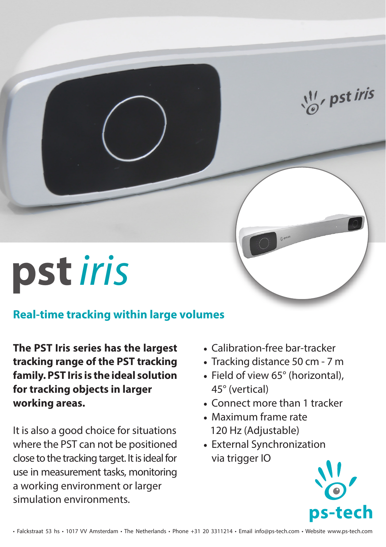$\frac{11}{10}$ , pst iris

## **pst***iris*

## **Real-time tracking within large volumes**

**The PST Iris series has the largest tracking range of the PST tracking family. PST Iris is the ideal solution for tracking objects in larger working areas.** 

It is also a good choice for situations where the PST can not be positioned close to the tracking target. It is ideal for use in measurement tasks, monitoring a working environment or larger simulation environments.

- Calibration-free bar-tracker
- Tracking distance 50 cm 7 m
- Field of view 65° (horizontal), 45° (vertical)
- Connect more than 1 tracker
- Maximum frame rate 120 Hz (Adjustable)
- External Synchronization via trigger IO